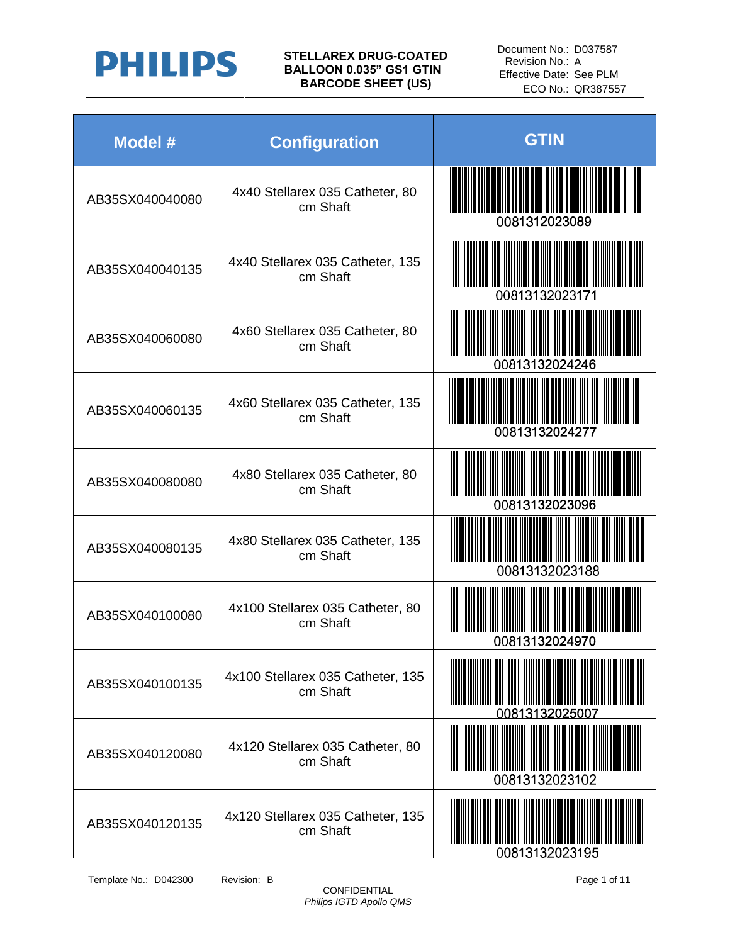

Document No.: D037587 Revision No.: A Effective Date: See PLM ECO No.: QR387557

| <b>Model #</b>  | <b>Configuration</b>                          | <b>GTIN</b>    |
|-----------------|-----------------------------------------------|----------------|
| AB35SX040040080 | 4x40 Stellarex 035 Catheter, 80<br>cm Shaft   | 0081312023089  |
| AB35SX040040135 | 4x40 Stellarex 035 Catheter, 135<br>cm Shaft  | 00813132023171 |
| AB35SX040060080 | 4x60 Stellarex 035 Catheter, 80<br>cm Shaft   | 00813132024246 |
| AB35SX040060135 | 4x60 Stellarex 035 Catheter, 135<br>cm Shaft  | 00813132024277 |
| AB35SX040080080 | 4x80 Stellarex 035 Catheter, 80<br>cm Shaft   | 00813132023096 |
| AB35SX040080135 | 4x80 Stellarex 035 Catheter, 135<br>cm Shaft  | 00813132023188 |
| AB35SX040100080 | 4x100 Stellarex 035 Catheter, 80<br>cm Shaft  | 00813132024970 |
| AB35SX040100135 | 4x100 Stellarex 035 Catheter, 135<br>cm Shaft | 0081313202500  |
| AB35SX040120080 | 4x120 Stellarex 035 Catheter, 80<br>cm Shaft  | 00813132023102 |
| AB35SX040120135 | 4x120 Stellarex 035 Catheter, 135<br>cm Shaft | 00813132023195 |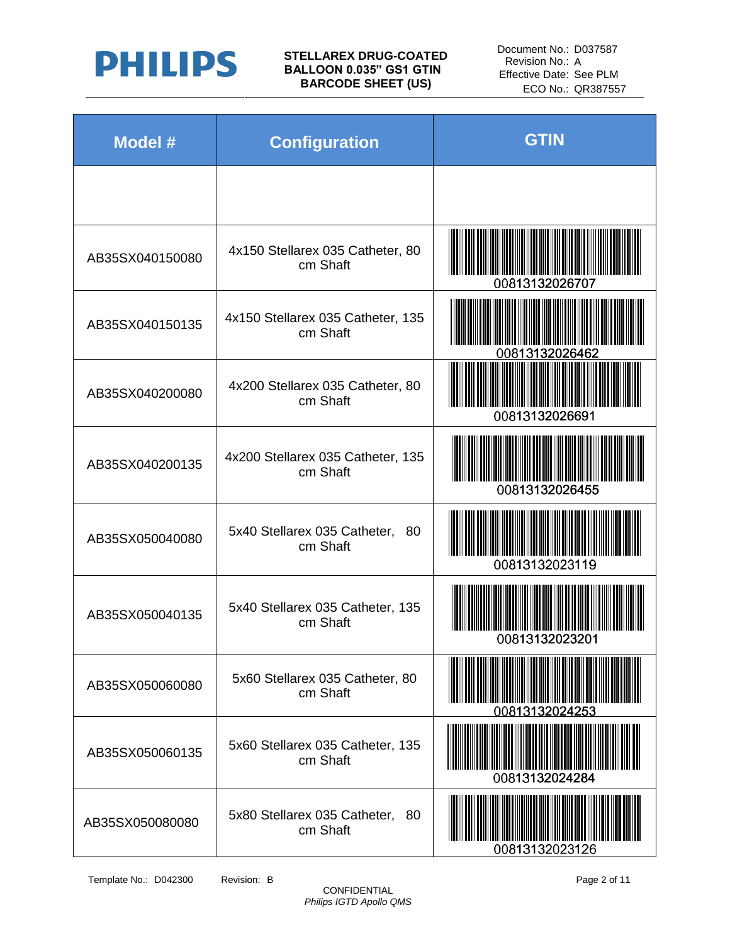

| Model #         | <b>Configuration</b>                          | <b>GTIN</b>    |
|-----------------|-----------------------------------------------|----------------|
|                 |                                               |                |
| AB35SX040150080 | 4x150 Stellarex 035 Catheter, 80<br>cm Shaft  | 00813132026707 |
| AB35SX040150135 | 4x150 Stellarex 035 Catheter, 135<br>cm Shaft | 00813132026462 |
| AB35SX040200080 | 4x200 Stellarex 035 Catheter, 80<br>cm Shaft  | 00813132026691 |
| AB35SX040200135 | 4x200 Stellarex 035 Catheter, 135<br>cm Shaft | 00813132026455 |
| AB35SX050040080 | 5x40 Stellarex 035 Catheter, 80<br>cm Shaft   | 00813132023119 |
| AB35SX050040135 | 5x40 Stellarex 035 Catheter, 135<br>cm Shaft  | 00813132023201 |
| AB35SX050060080 | 5x60 Stellarex 035 Catheter, 80<br>cm Shaft   | 00813132024253 |
| AB35SX050060135 | 5x60 Stellarex 035 Catheter, 135<br>cm Shaft  | 00813132024284 |
| AB35SX050080080 | 5x80 Stellarex 035 Catheter, 80<br>cm Shaft   | 00813132023126 |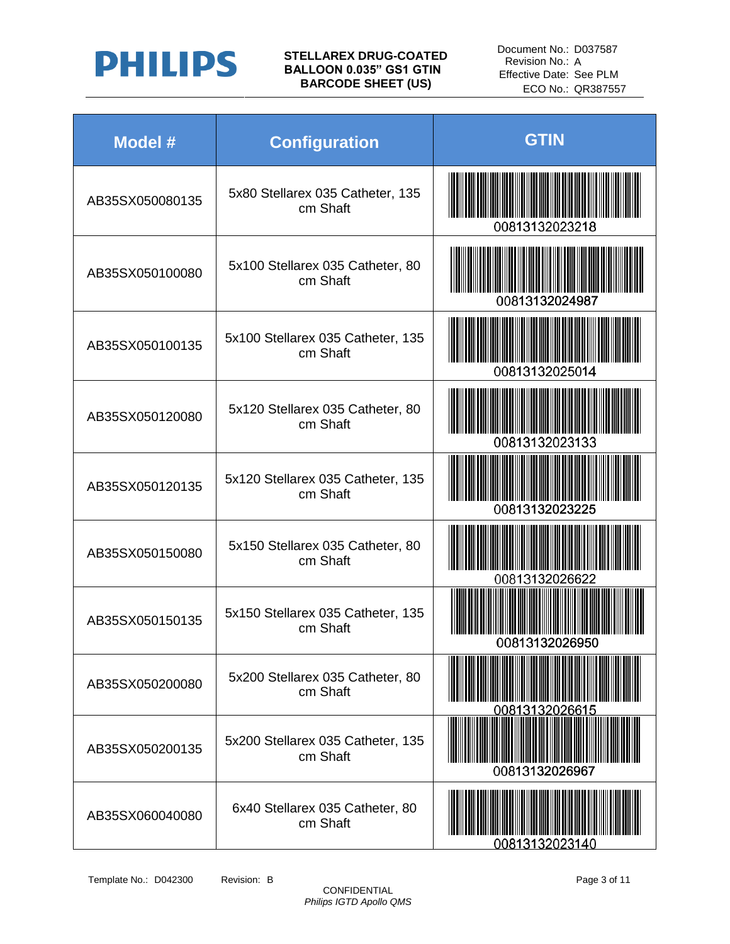

| Model #         | <b>Configuration</b>                          | <b>GTIN</b>           |
|-----------------|-----------------------------------------------|-----------------------|
| AB35SX050080135 | 5x80 Stellarex 035 Catheter, 135<br>cm Shaft  | 00813132023218        |
| AB35SX050100080 | 5x100 Stellarex 035 Catheter, 80<br>cm Shaft  | 00813132024987        |
| AB35SX050100135 | 5x100 Stellarex 035 Catheter, 135<br>cm Shaft | 00813132025014        |
| AB35SX050120080 | 5x120 Stellarex 035 Catheter, 80<br>cm Shaft  | 00813132023133        |
| AB35SX050120135 | 5x120 Stellarex 035 Catheter, 135<br>cm Shaft | 00813132023225        |
| AB35SX050150080 | 5x150 Stellarex 035 Catheter, 80<br>cm Shaft  | 00813132026622        |
| AB35SX050150135 | 5x150 Stellarex 035 Catheter, 135<br>cm Shaft | 00813132026950        |
| AB35SX050200080 | 5x200 Stellarex 035 Catheter, 80<br>cm Shaft  | <u>00813132026615</u> |
| AB35SX050200135 | 5x200 Stellarex 035 Catheter, 135<br>cm Shaft | 00813132026967        |
| AB35SX060040080 | 6x40 Stellarex 035 Catheter, 80<br>cm Shaft   | 00813132023140        |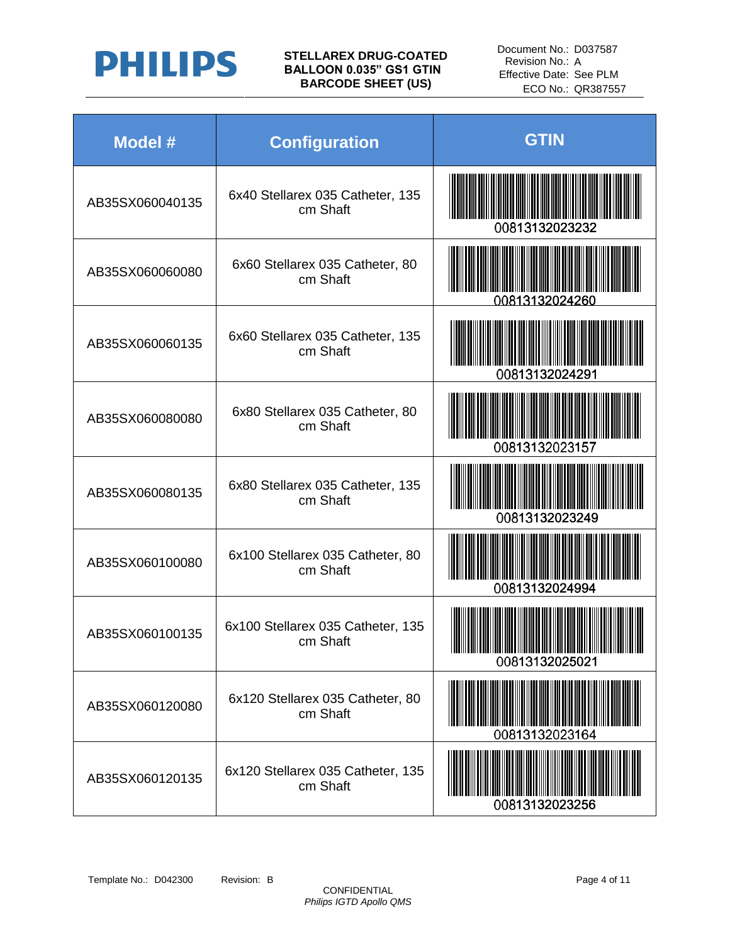

| <b>Model #</b>  | <b>Configuration</b>                          | <b>GTIN</b>    |
|-----------------|-----------------------------------------------|----------------|
| AB35SX060040135 | 6x40 Stellarex 035 Catheter, 135<br>cm Shaft  | 00813132023232 |
| AB35SX060060080 | 6x60 Stellarex 035 Catheter, 80<br>cm Shaft   | 00813132024260 |
| AB35SX060060135 | 6x60 Stellarex 035 Catheter, 135<br>cm Shaft  | 00813132024291 |
| AB35SX060080080 | 6x80 Stellarex 035 Catheter, 80<br>cm Shaft   | 00813132023157 |
| AB35SX060080135 | 6x80 Stellarex 035 Catheter, 135<br>cm Shaft  | 00813132023249 |
| AB35SX060100080 | 6x100 Stellarex 035 Catheter, 80<br>cm Shaft  | 00813132024994 |
| AB35SX060100135 | 6x100 Stellarex 035 Catheter, 135<br>cm Shaft | 00813132025021 |
| AB35SX060120080 | 6x120 Stellarex 035 Catheter, 80<br>cm Shaft  | 00813132023164 |
| AB35SX060120135 | 6x120 Stellarex 035 Catheter, 135<br>cm Shaft | 00813132023256 |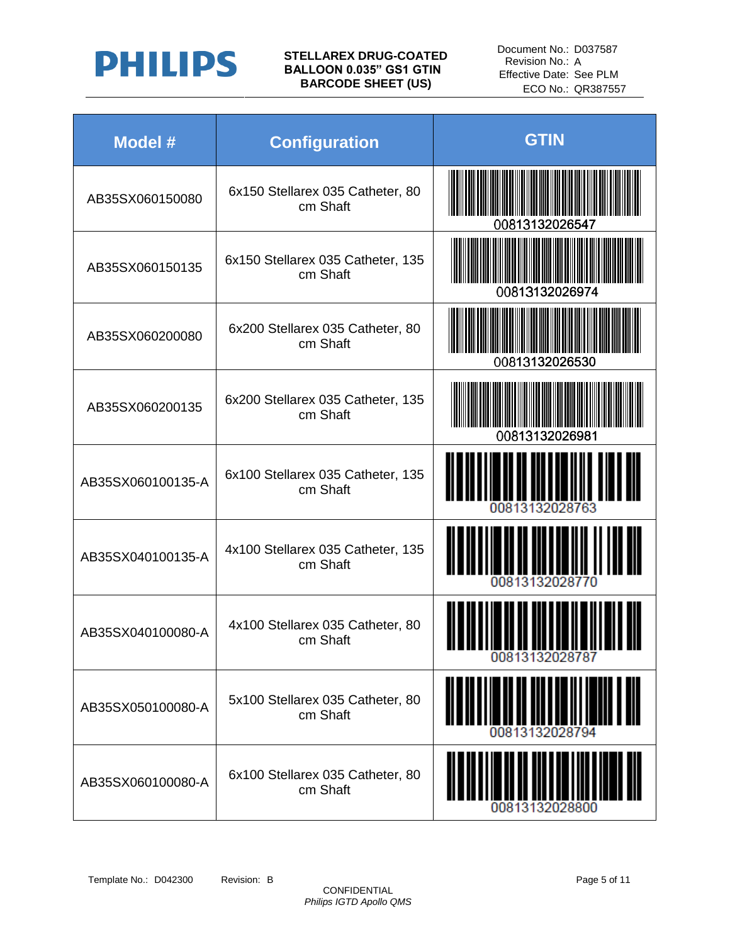

| Model #           | <b>Configuration</b>                          | <b>GTIN</b>    |
|-------------------|-----------------------------------------------|----------------|
| AB35SX060150080   | 6x150 Stellarex 035 Catheter, 80<br>cm Shaft  | 00813132026547 |
| AB35SX060150135   | 6x150 Stellarex 035 Catheter, 135<br>cm Shaft | 00813132026974 |
| AB35SX060200080   | 6x200 Stellarex 035 Catheter, 80<br>cm Shaft  | 00813132026530 |
| AB35SX060200135   | 6x200 Stellarex 035 Catheter, 135<br>cm Shaft | 00813132026981 |
| AB35SX060100135-A | 6x100 Stellarex 035 Catheter, 135<br>cm Shaft | 00813132028763 |
| AB35SX040100135-A | 4x100 Stellarex 035 Catheter, 135<br>cm Shaft | 008131320287   |
| AB35SX040100080-A | 4x100 Stellarex 035 Catheter, 80<br>cm Shaft  | 00813132028787 |
| AB35SX050100080-A | 5x100 Stellarex 035 Catheter, 80<br>cm Shaft  |                |
| AB35SX060100080-A | 6x100 Stellarex 035 Catheter, 80<br>cm Shaft  | 00813132028800 |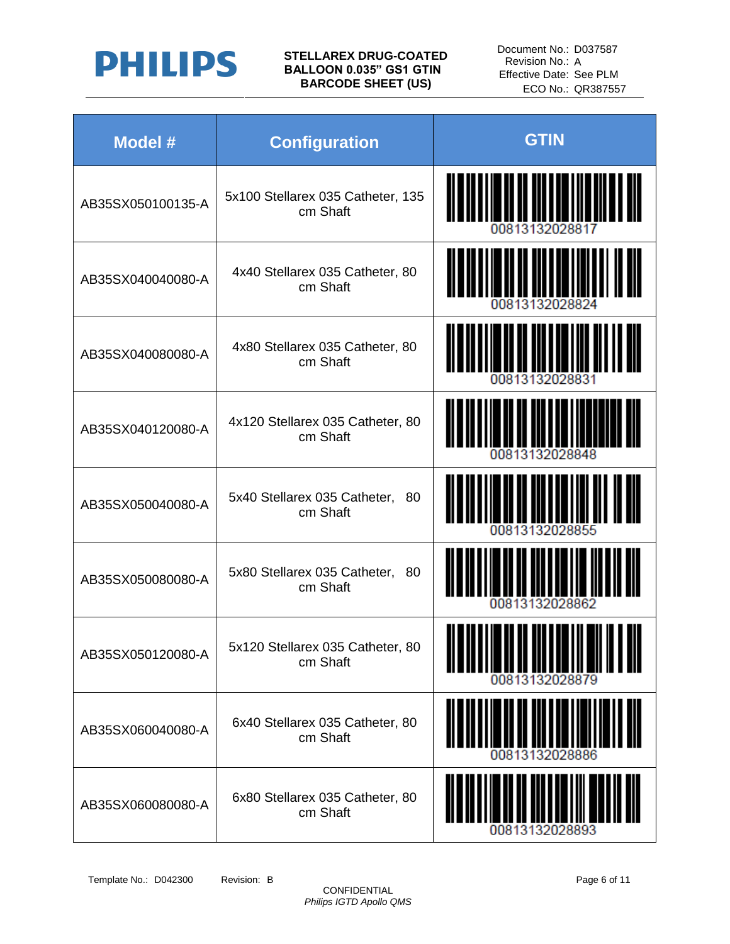

| <b>Model #</b>    | <b>Configuration</b>                          | <b>GTIN</b>                   |
|-------------------|-----------------------------------------------|-------------------------------|
| AB35SX050100135-A | 5x100 Stellarex 035 Catheter, 135<br>cm Shaft | <u>                      </u> |
| AB35SX040040080-A | 4x40 Stellarex 035 Catheter, 80<br>cm Shaft   |                               |
| AB35SX040080080-A | 4x80 Stellarex 035 Catheter, 80<br>cm Shaft   | <u> A TI TII TETIIN ALL</u>   |
| AB35SX040120080-A | 4x120 Stellarex 035 Catheter, 80<br>cm Shaft  |                               |
| AB35SX050040080-A | 5x40 Stellarex 035 Catheter, 80<br>cm Shaft   |                               |
| AB35SX050080080-A | 5x80 Stellarex 035 Catheter, 80<br>cm Shaft   |                               |
| AB35SX050120080-A | 5x120 Stellarex 035 Catheter, 80<br>cm Shaft  | Ш<br>00813132028879           |
| AB35SX060040080-A | 6x40 Stellarex 035 Catheter, 80<br>cm Shaft   |                               |
| AB35SX060080080-A | 6x80 Stellarex 035 Catheter, 80<br>cm Shaft   |                               |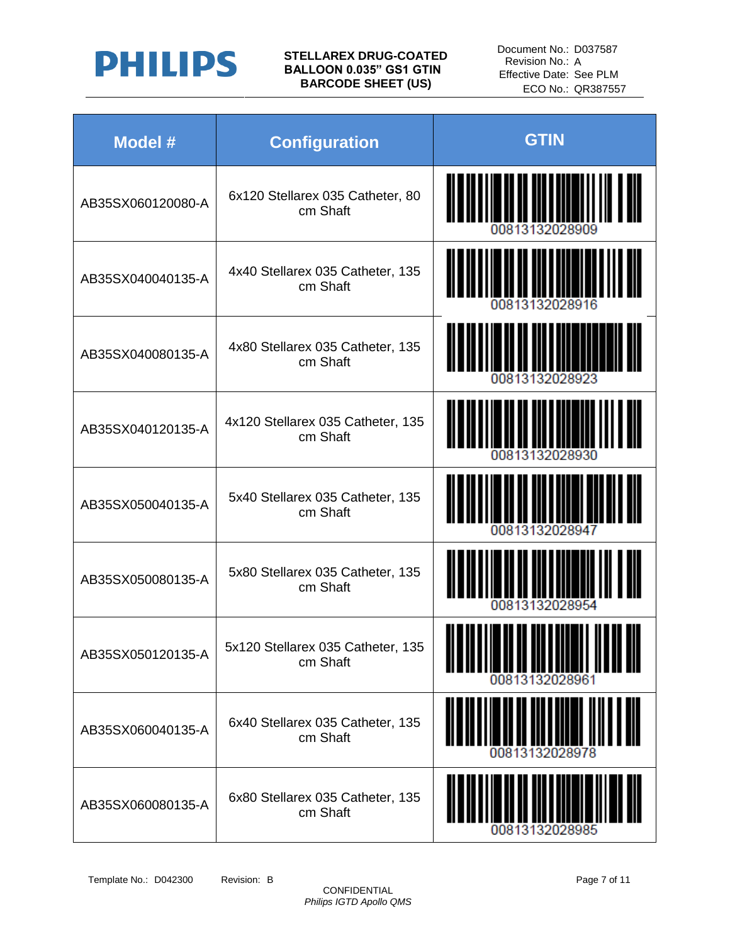

| <b>Model #</b>    | <b>Configuration</b>                          | <b>GTIN</b>                          |
|-------------------|-----------------------------------------------|--------------------------------------|
| AB35SX060120080-A | 6x120 Stellarex 035 Catheter, 80<br>cm Shaft  | <u>                             </u> |
| AB35SX040040135-A | 4x40 Stellarex 035 Catheter, 135<br>cm Shaft  | II III III III                       |
| AB35SX040080135-A | 4x80 Stellarex 035 Catheter, 135<br>cm Shaft  |                                      |
| AB35SX040120135-A | 4x120 Stellarex 035 Catheter, 135<br>cm Shaft |                                      |
| AB35SX050040135-A | 5x40 Stellarex 035 Catheter, 135<br>cm Shaft  |                                      |
| AB35SX050080135-A | 5x80 Stellarex 035 Catheter, 135<br>cm Shaft  | 00813132028954                       |
| AB35SX050120135-A | 5x120 Stellarex 035 Catheter, 135<br>cm Shaft | 00813132028961                       |
| AB35SX060040135-A | 6x40 Stellarex 035 Catheter, 135<br>cm Shaft  |                                      |
| AB35SX060080135-A | 6x80 Stellarex 035 Catheter, 135<br>cm Shaft  |                                      |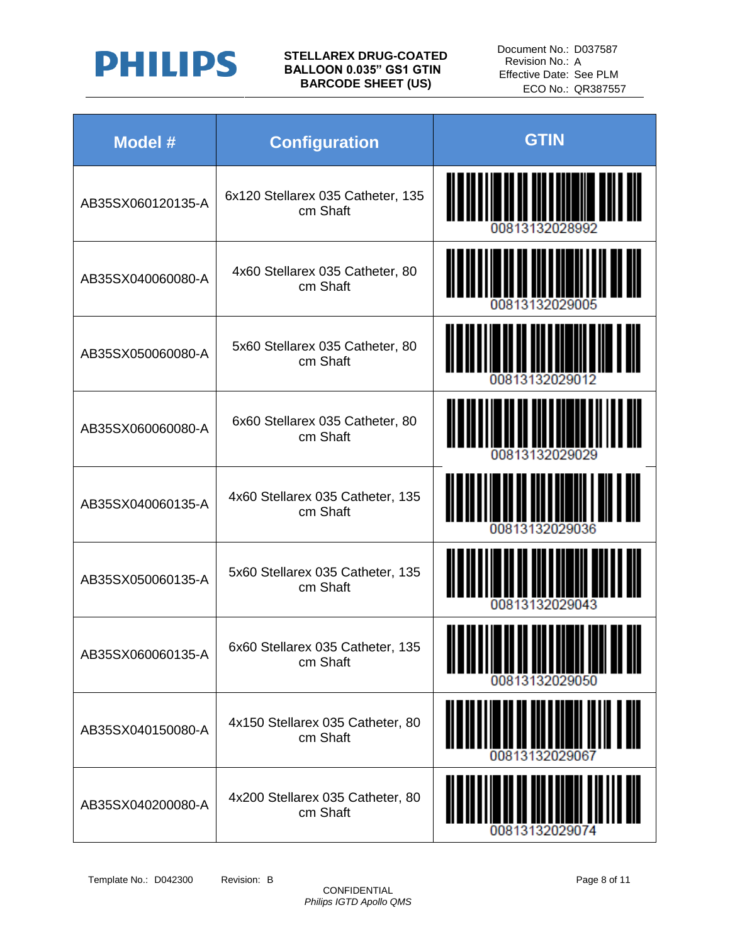

| <b>Model #</b>    | <b>Configuration</b>                          | <b>GTIN</b>                |
|-------------------|-----------------------------------------------|----------------------------|
| AB35SX060120135-A | 6x120 Stellarex 035 Catheter, 135<br>cm Shaft | <u>Maan ahaan maanaan </u> |
| AB35SX040060080-A | 4x60 Stellarex 035 Catheter, 80<br>cm Shaft   |                            |
| AB35SX050060080-A | 5x60 Stellarex 035 Catheter, 80<br>cm Shaft   |                            |
| AB35SX060060080-A | 6x60 Stellarex 035 Catheter, 80<br>cm Shaft   |                            |
| AB35SX040060135-A | 4x60 Stellarex 035 Catheter, 135<br>cm Shaft  |                            |
| AB35SX050060135-A | 5x60 Stellarex 035 Catheter, 135<br>cm Shaft  | 00813132029043             |
| AB35SX060060135-A | 6x60 Stellarex 035 Catheter, 135<br>cm Shaft  | Ш                          |
| AB35SX040150080-A | 4x150 Stellarex 035 Catheter, 80<br>cm Shaft  |                            |
| AB35SX040200080-A | 4x200 Stellarex 035 Catheter, 80<br>cm Shaft  |                            |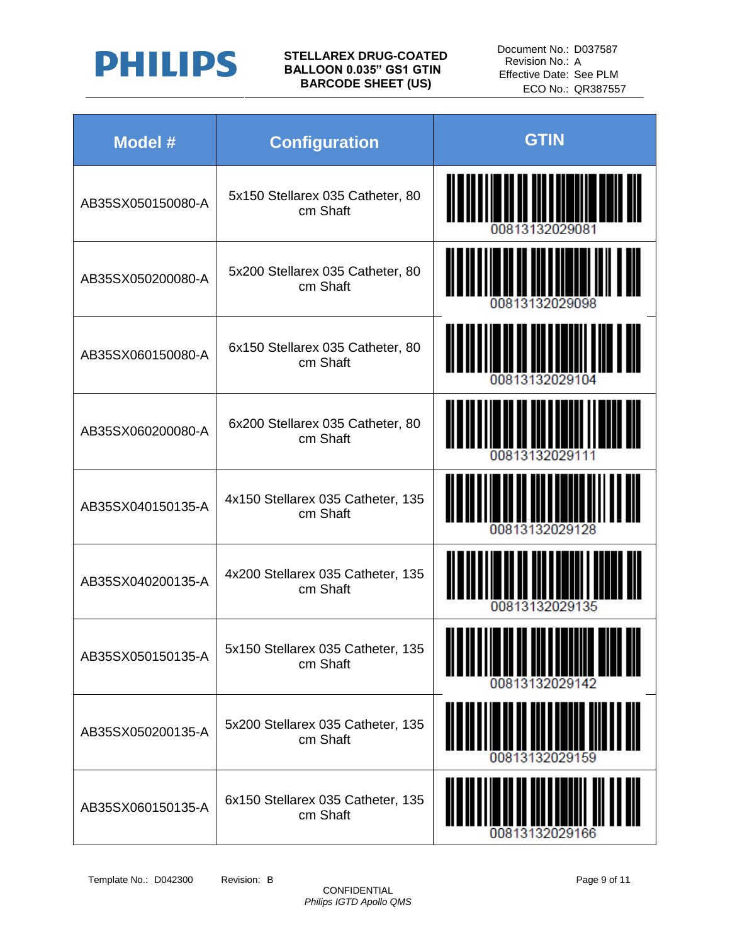

| <b>Model #</b>    | <b>Configuration</b>                          | <b>GTIN</b>    |
|-------------------|-----------------------------------------------|----------------|
| AB35SX050150080-A | 5x150 Stellarex 035 Catheter, 80<br>cm Shaft  |                |
| AB35SX050200080-A | 5x200 Stellarex 035 Catheter, 80<br>cm Shaft  |                |
| AB35SX060150080-A | 6x150 Stellarex 035 Catheter, 80<br>cm Shaft  |                |
| AB35SX060200080-A | 6x200 Stellarex 035 Catheter, 80<br>cm Shaft  | 00813132029111 |
| AB35SX040150135-A | 4x150 Stellarex 035 Catheter, 135<br>cm Shaft |                |
| AB35SX040200135-A | 4x200 Stellarex 035 Catheter, 135<br>cm Shaft | 00813132029135 |
| AB35SX050150135-A | 5x150 Stellarex 035 Catheter, 135<br>cm Shaft |                |
| AB35SX050200135-A | 5x200 Stellarex 035 Catheter, 135<br>cm Shaft |                |
| AB35SX060150135-A | 6x150 Stellarex 035 Catheter, 135<br>cm Shaft |                |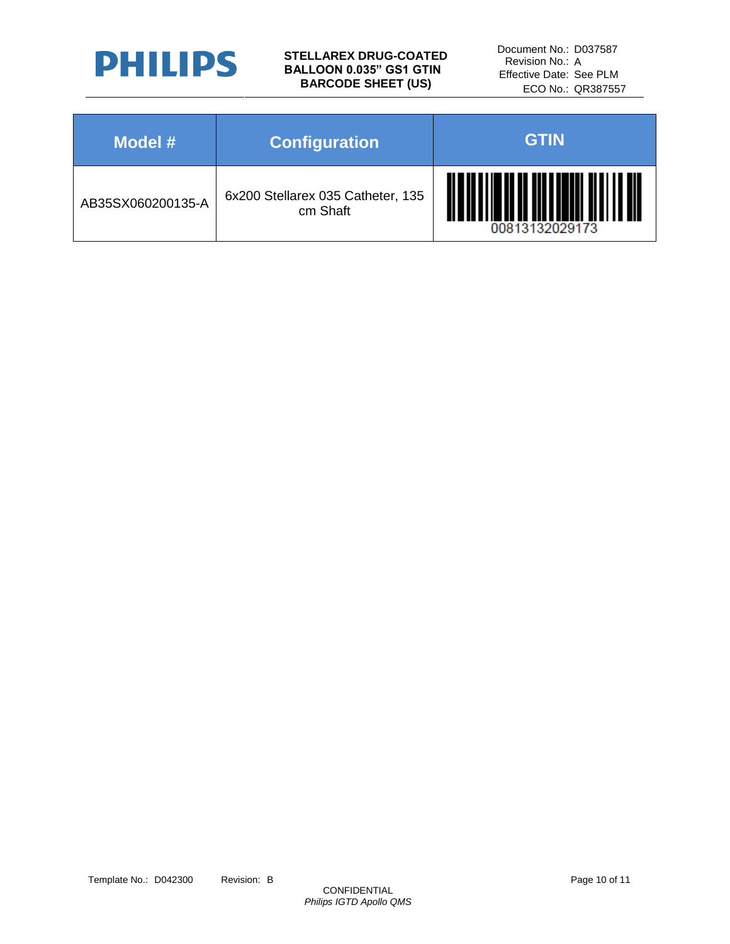

Document No.: D037587 Revision No.: A Effective Date: See PLM ECO No.: QR387557

| Model #           | <b>Configuration</b>                          | <b>GTIN</b>    |
|-------------------|-----------------------------------------------|----------------|
| AB35SX060200135-A | 6x200 Stellarex 035 Catheter, 135<br>cm Shaft | 00813132029173 |